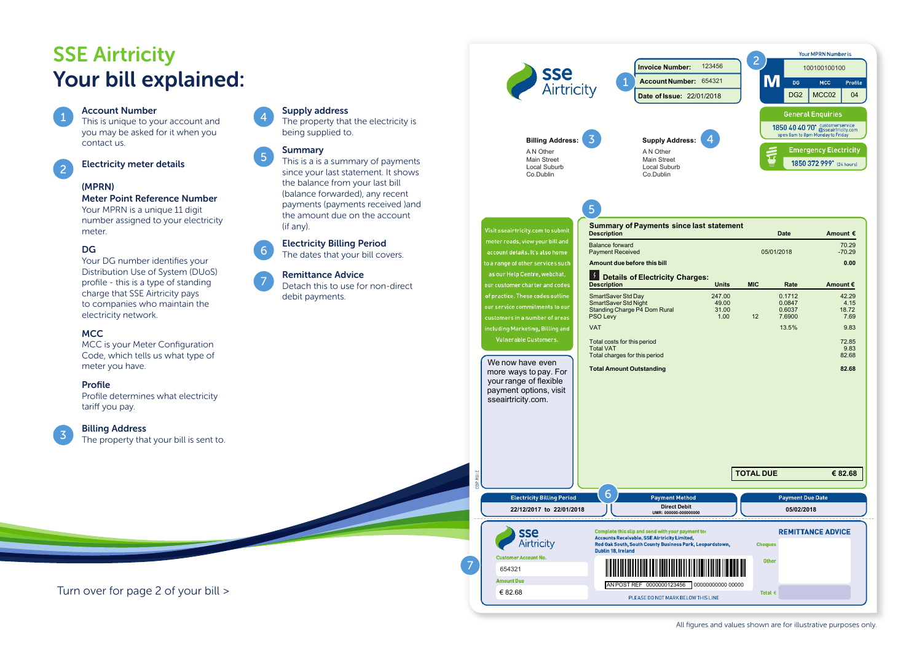# **SSE Airtricity** Your bill explained:

# 1

This is unique to your account and you may be asked for it when you contact us.

2

# Electricity meter details

Account Number

# (MPRN)

### Meter Point Reference Number

Your MPRN is a unique 11 digit number assigned to your electricity meter.

# DG

Your DG number identifies your Distribution Use of System (DUoS) profile - this is a type of standing charge that SSE Airtricity pays to companies who maintain the electricity network.

# MCC

MCC is your Meter Configuration Code, which tells us what type of meter you have.

## Profile

Profile determines what electricity tariff you pay.

## Billing Address

3

The property that your bill is sent to.

## Supply address

The property that the electricity is being supplied to.

# **Summary**

4

5

7

This is a is a summary of payments since your last statement. It shows the balance from your last bill (balance forwarded), any recent payments (payments received )and the amount due on the account (if any).

### Electricity Billing Period 6

The dates that your bill covers.

## Remittance Advice

Detach this to use for non-direct debit payments.



Turn over for page 2 of your bill >